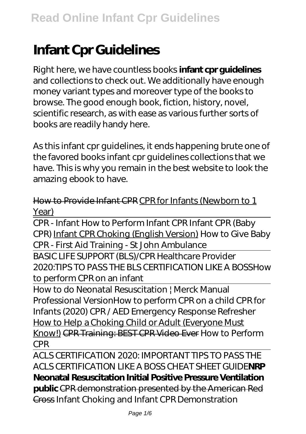# **Infant Cpr Guidelines**

Right here, we have countless books **infant cpr guidelines** and collections to check out. We additionally have enough money variant types and moreover type of the books to browse. The good enough book, fiction, history, novel, scientific research, as with ease as various further sorts of books are readily handy here.

As this infant cpr guidelines, it ends happening brute one of the favored books infant cpr guidelines collections that we have. This is why you remain in the best website to look the amazing ebook to have.

# How to Provide Infant CPR CPR for Infants (Newborn to 1 Year)

CPR - Infant How to Perform Infant CPR Infant CPR (Baby CPR) Infant CPR Choking (English Version) *How to Give Baby CPR - First Aid Training - St John Ambulance*

BASIC LIFE SUPPORT (BLS)/CPR Healthcare Provider 2020:TIPS TO PASS THE BLS CERTIFICATION LIKE A BOSS*How to perform CPR on an infant*

How to do Neonatal Resuscitation | Merck Manual Professional Version*How to perform CPR on a child CPR for Infants (2020)* CPR / AED Emergency Response Refresher How to Help a Choking Child or Adult (Everyone Must Know!) CPR Training: BEST CPR Video Ever *How to Perform CPR*

ACLS CERTIFICATION 2020: IMPORTANT TIPS TO PASS THE ACLS CERTIFICATION LIKE A BOSS CHEAT SHEET GUIDE**NRP Neonatal Resuscitation Initial Positive Pressure Ventilation public** CPR demonstration presented by the American Red Cross *Infant Choking and Infant CPR Demonstration*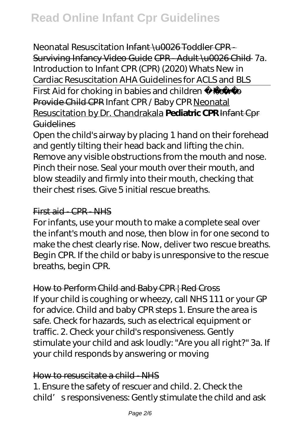*Neonatal Resuscitation* Infant \u0026 Toddler CPR - Surviving Infancy Video Guide CPR - Adult \u0026 Child 7a. Introduction to Infant CPR (CPR) (2020) Whats New in Cardiac Resuscitation AHA Guidelines for ACLS and BLS First Aid for choking in babies and children How to Provide Child CPR *Infant CPR / Baby CPR* Neonatal Resuscitation by Dr. Chandrakala **Pediatric CPR** Infant Cpr Guidelines

Open the child's airway by placing 1 hand on their forehead and gently tilting their head back and lifting the chin. Remove any visible obstructions from the mouth and nose. Pinch their nose. Seal your mouth over their mouth, and blow steadily and firmly into their mouth, checking that their chest rises. Give 5 initial rescue breaths.

#### First aid - CPR - NHS

For infants, use your mouth to make a complete seal over the infant's mouth and nose, then blow in for one second to make the chest clearly rise. Now, deliver two rescue breaths. Begin CPR. If the child or baby is unresponsive to the rescue breaths, begin CPR.

# How to Perform Child and Baby CPR | Red Cross

If your child is coughing or wheezy, call NHS 111 or your GP for advice. Child and baby CPR steps 1. Ensure the area is safe. Check for hazards, such as electrical equipment or traffic. 2. Check your child's responsiveness. Gently stimulate your child and ask loudly: "Are you all right?" 3a. If your child responds by answering or moving

#### How to resuscitate a child - NHS

1. Ensure the safety of rescuer and child. 2. Check the child' s responsiveness: Gently stimulate the child and ask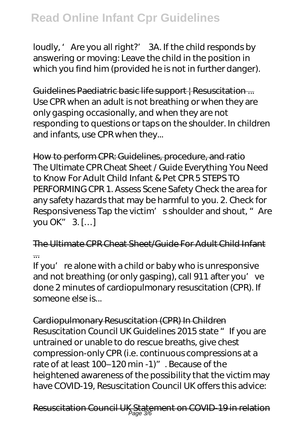loudly, ' Are you all right?' 3A. If the child responds by answering or moving: Leave the child in the position in which you find him (provided he is not in further danger).

Guidelines Paediatric basic life support | Resuscitation ... Use CPR when an adult is not breathing or when they are only gasping occasionally, and when they are not responding to questions or taps on the shoulder. In children and infants, use CPR when they...

How to perform CPR: Guidelines, procedure, and ratio The Ultimate CPR Cheat Sheet / Guide Everything You Need to Know For Adult Child Infant & Pet CPR 5 STEPS TO PERFORMING CPR 1. Assess Scene Safety Check the area for any safety hazards that may be harmful to you. 2. Check for Responsiveness Tap the victim' s shoulder and shout, "Are you OK" 3. […]

The Ultimate CPR Cheat Sheet/Guide For Adult Child Infant ...

If you' re alone with a child or baby who is unresponsive and not breathing (or only gasping), call 911 after you' ve done 2 minutes of cardiopulmonary resuscitation (CPR). If someone else is...

Cardiopulmonary Resuscitation (CPR) In Children Resuscitation Council UK Guidelines 2015 state "If you are untrained or unable to do rescue breaths, give chest compression-only CPR (i.e. continuous compressions at a rate of at least 100-120 min -1)". Because of the heightened awareness of the possibility that the victim may have COVID-19, Resuscitation Council UK offers this advice: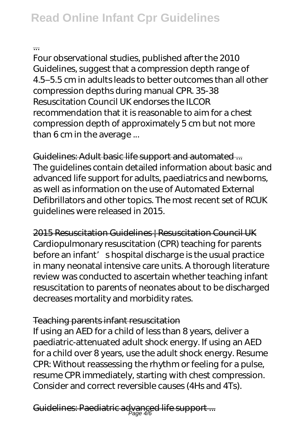#### ...

Four observational studies, published after the 2010 Guidelines, suggest that a compression depth range of 4.5–5.5 cm in adults leads to better outcomes than all other compression depths during manual CPR. 35-38 Resuscitation Council UK endorses the ILCOR recommendation that it is reasonable to aim for a chest compression depth of approximately 5 cm but not more than 6 cm in the average ...

Guidelines: Adult basic life support and automated ... The guidelines contain detailed information about basic and advanced life support for adults, paediatrics and newborns, as well as information on the use of Automated External Defibrillators and other topics. The most recent set of RCUK guidelines were released in 2015.

2015 Resuscitation Guidelines | Resuscitation Council UK Cardiopulmonary resuscitation (CPR) teaching for parents before an infant' shospital discharge is the usual practice in many neonatal intensive care units. A thorough literature review was conducted to ascertain whether teaching infant resuscitation to parents of neonates about to be discharged decreases mortality and morbidity rates.

# Teaching parents infant resuscitation

If using an AED for a child of less than 8 years, deliver a paediatric-attenuated adult shock energy. If using an AED for a child over 8 years, use the adult shock energy. Resume CPR: Without reassessing the rhythm or feeling for a pulse, resume CPR immediately, starting with chest compression. Consider and correct reversible causes (4Hs and 4Ts).

Guidelines: Paediatric advanced life support ... Page 4/6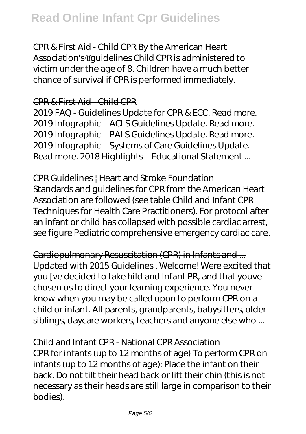CPR & First Aid - Child CPR By the American Heart Association's® guidelines Child CPR is administered to victim under the age of 8. Children have a much better chance of survival if CPR is performed immediately.

#### CPR & First Aid - Child CPR

2019 FAQ - Guidelines Update for CPR & ECC. Read more. 2019 Infographic – ACLS Guidelines Update. Read more. 2019 Infographic – PALS Guidelines Update. Read more. 2019 Infographic – Systems of Care Guidelines Update. Read more. 2018 Highlights – Educational Statement ...

#### CPR Guidelines | Heart and Stroke Foundation

Standards and guidelines for CPR from the American Heart Association are followed (see table Child and Infant CPR Techniques for Health Care Practitioners). For protocol after an infant or child has collapsed with possible cardiac arrest, see figure Pediatric comprehensive emergency cardiac care.

# Cardiopulmonary Resuscitation (CPR) in Infants and ... Updated with 2015 Guidelines . Welcome! Were excited that

you [ve decided to take hild and Infant PR, and that youve chosen us to direct your learning experience. You never know when you may be called upon to perform CPR on a child or infant. All parents, grandparents, babysitters, older siblings, daycare workers, teachers and anyone else who ...

# Child and Infant CPR - National CPR Association

CPR for infants (up to 12 months of age) To perform CPR on infants (up to 12 months of age): Place the infant on their back. Do not tilt their head back or lift their chin (this is not necessary as their heads are still large in comparison to their bodies).